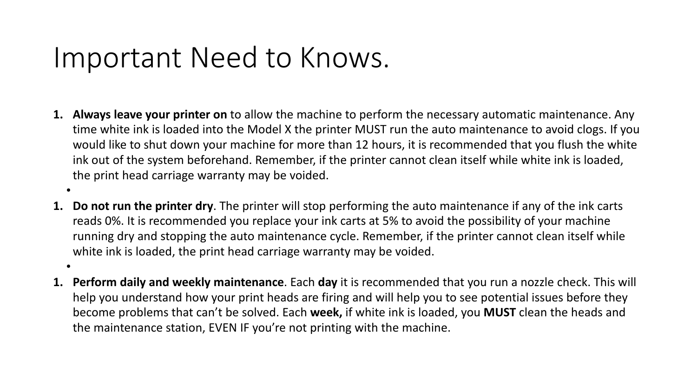### Important Need to Knows.

•

•

- **1. Always leave your printer on** to allow the machine to perform the necessary automatic maintenance. Any time white ink is loaded into the Model X the printer MUST run the auto maintenance to avoid clogs. If you would like to shut down your machine for more than 12 hours, it is recommended that you flush the white ink out of the system beforehand. Remember, if the printer cannot clean itself while white ink is loaded, the print head carriage warranty may be voided.
- **1. Do not run the printer dry**. The printer will stop performing the auto maintenance if any of the ink carts reads 0%. It is recommended you replace your ink carts at 5% to avoid the possibility of your machine running dry and stopping the auto maintenance cycle. Remember, if the printer cannot clean itself while white ink is loaded, the print head carriage warranty may be voided.
- **1. Perform daily and weekly maintenance**. Each **day** it is recommended that you run a nozzle check. This will help you understand how your print heads are firing and will help you to see potential issues before they become problems that can't be solved. Each **week,** if white ink is loaded, you **MUST** clean the heads and the maintenance station, EVEN IF you're not printing with the machine.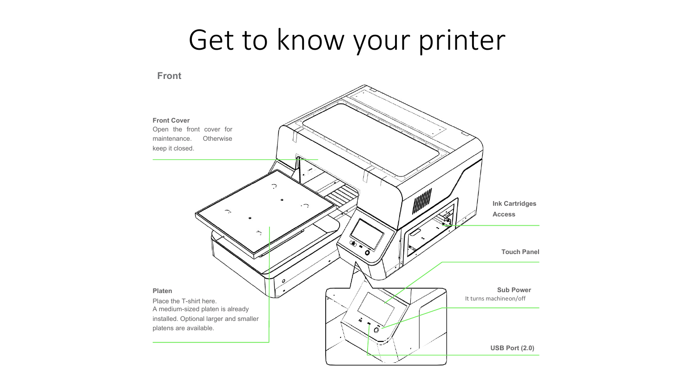### Get to know your printer

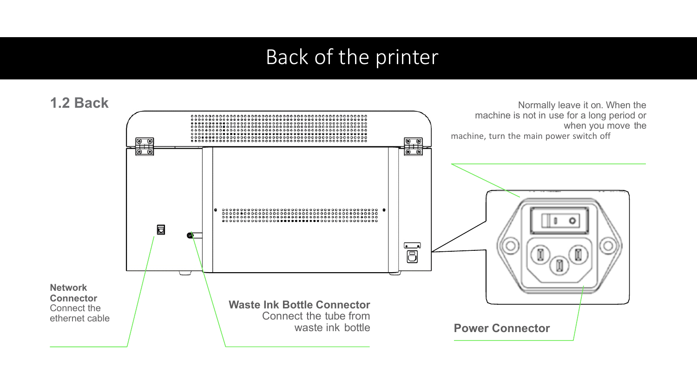#### Back of the printer

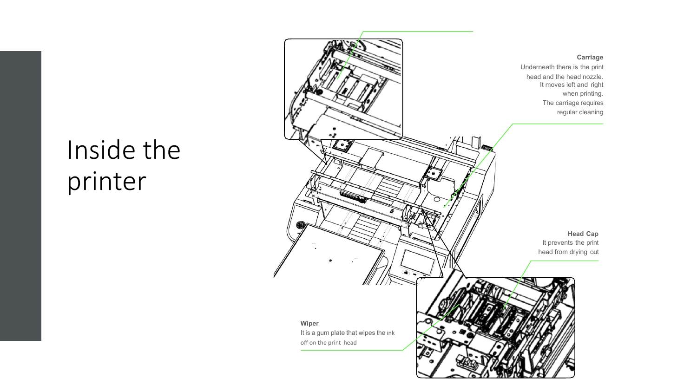#### Inside the printer

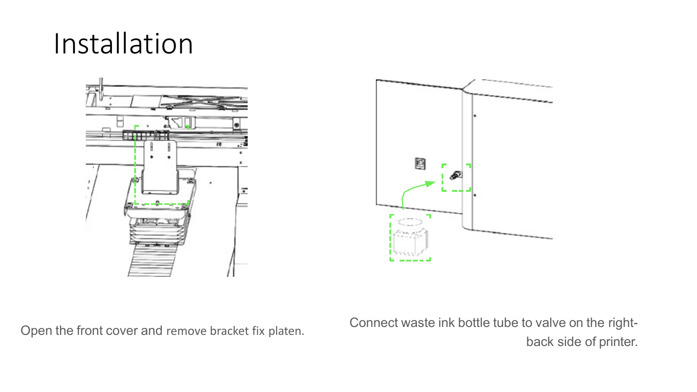## Installation





Open the front cover and remove bracket fix platen. Connect waste ink bottle tube to valve on the rightback side of printer.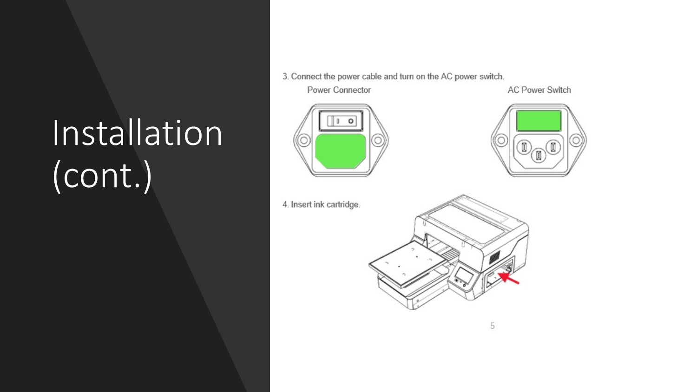3. Connect the power cable and turn on the AC power switch.

Installation (cont.)

Power Connector

**AC Power Switch** 





4. Insert ink cartridge.